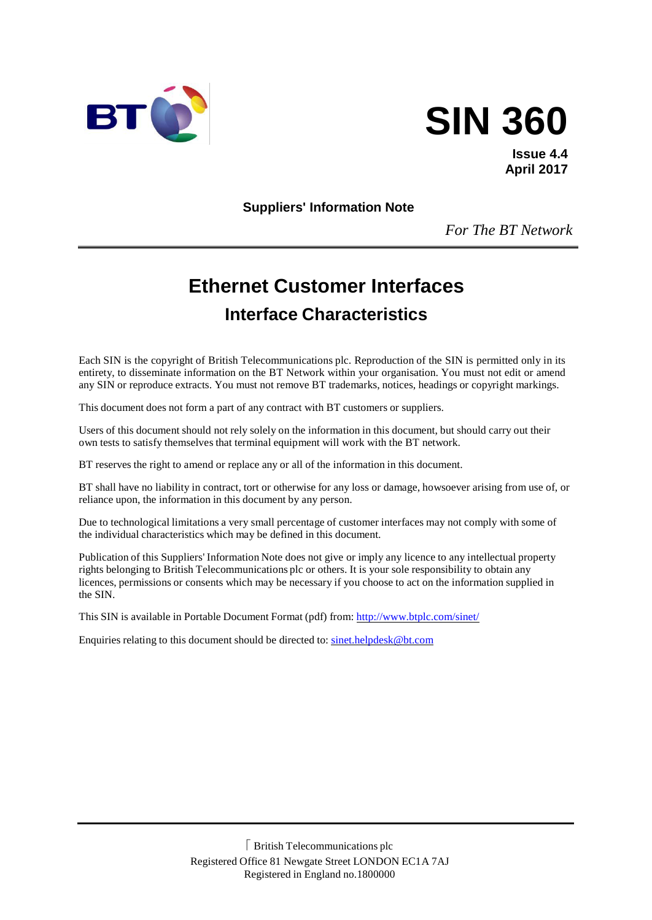



**Issue 4.4 April 2017**

**Suppliers' Information Note**

*For The BT Network*

# **Ethernet Customer Interfaces Interface Characteristics**

Each SIN is the copyright of British Telecommunications plc. Reproduction of the SIN is permitted only in its entirety, to disseminate information on the BT Network within your organisation. You must not edit or amend any SIN or reproduce extracts. You must not remove BT trademarks, notices, headings or copyright markings.

This document does not form a part of any contract with BT customers or suppliers.

Users of this document should not rely solely on the information in this document, but should carry out their own tests to satisfy themselves that terminal equipment will work with the BT network.

BT reserves the right to amend or replace any or all of the information in this document.

BT shall have no liability in contract, tort or otherwise for any loss or damage, howsoever arising from use of, or reliance upon, the information in this document by any person.

Due to technological limitations a very small percentage of customer interfaces may not comply with some of the individual characteristics which may be defined in this document.

Publication of this Suppliers' Information Note does not give or imply any licence to any intellectual property rights belonging to British Telecommunications plc or others. It is your sole responsibility to obtain any licences, permissions or consents which may be necessary if you choose to act on the information supplied in the SIN.

This SIN is available in Portable Document Format (pdf) from: <http://www.btplc.com/sinet/>

Enquiries relating to this document should be directed to: [sinet.helpdesk@bt.com](mailto:sinet.helpdesk@bt.com)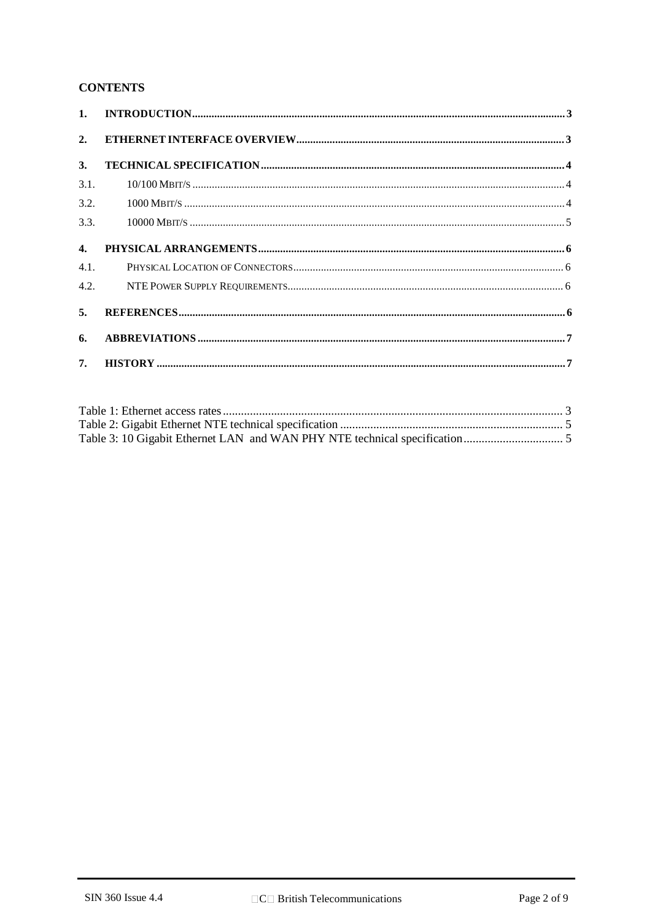#### **CONTENTS**

| 2.             |  |
|----------------|--|
| 3.             |  |
| 3.1.           |  |
| 3.2.           |  |
| 3.3.           |  |
| $\mathbf{4}$ . |  |
| 4.1.           |  |
|                |  |
| 5.             |  |
| 6.             |  |
| 7.             |  |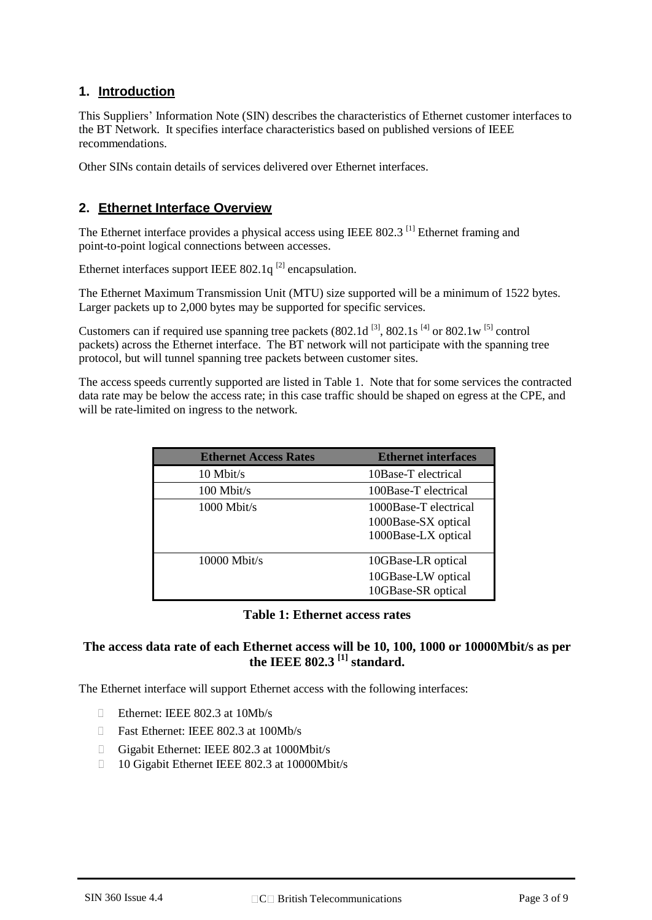### **1. Introduction**

This Suppliers' Information Note (SIN) describes the characteristics of Ethernet customer interfaces to the BT Network. It specifies interface characteristics based on published versions of IEEE recommendations.

Other SINs contain details of services delivered over Ethernet interfaces.

#### **2. Ethernet Interface Overview**

The Ethernet interface provides a physical access using IEEE 802.3<sup>[1]</sup> Ethernet framing and point-to-point logical connections between accesses.

Ethernet interfaces support IEEE 802.1 $q^{[2]}$  encapsulation.

The Ethernet Maximum Transmission Unit (MTU) size supported will be a minimum of 1522 bytes. Larger packets up to 2,000 bytes may be supported for specific services.

Customers can if required use spanning tree packets  $(802.1d^{31}, 802.1s^{41})$  or  $802.1w^{51}$  control packets) across the Ethernet interface. The BT network will not participate with the spanning tree protocol, but will tunnel spanning tree packets between customer sites.

The access speeds currently supported are listed in Table 1. Note that for some services the contracted data rate may be below the access rate; in this case traffic should be shaped on egress at the CPE, and will be rate-limited on ingress to the network.

| <b>Ethernet Access Rates</b> | <b>Ethernet interfaces</b>                                          |
|------------------------------|---------------------------------------------------------------------|
| $10$ Mbit/s                  | 10Base-T electrical                                                 |
| $100$ Mbit/s                 | 100Base-T electrical                                                |
| $1000$ Mbit/s                | 1000Base-T electrical<br>1000Base-SX optical<br>1000Base-LX optical |
| $10000$ Mbit/s               | 10GBase-LR optical<br>10GBase-LW optical<br>10GBase-SR optical      |

#### **Table 1: Ethernet access rates**

#### **The access data rate of each Ethernet access will be 10, 100, 1000 or 10000Mbit/s as per the IEEE 802.3 [1] standard.**

The Ethernet interface will support Ethernet access with the following interfaces:

- Ethernet: IEEE 802.3 at 10Mb/s
- □ Fast Ethernet: IEEE 802.3 at 100Mb/s
- Gigabit Ethernet: IEEE 802.3 at 1000Mbit/s
- 10 Gigabit Ethernet IEEE 802.3 at 10000Mbit/s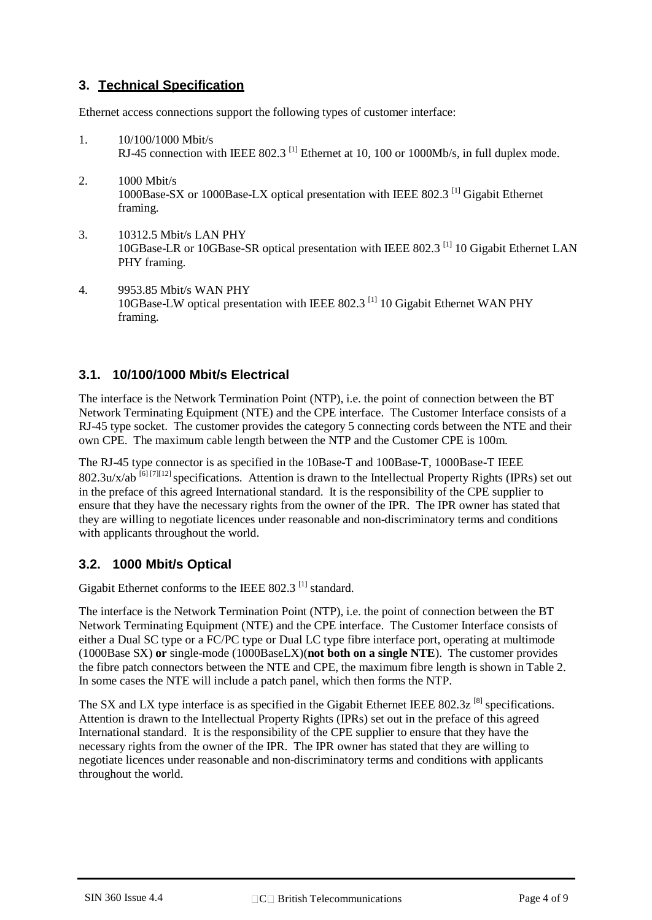# **3. Technical Specification**

Ethernet access connections support the following types of customer interface:

- 1. 10/100/1000 Mbit/s RJ-45 connection with IEEE 802.3<sup>[1]</sup> Ethernet at 10, 100 or 1000Mb/s, in full duplex mode.
- 2. 1000 Mbit/s 1000Base-SX or 1000Base-LX optical presentation with IEEE 802.3 [1] Gigabit Ethernet framing.
- 3. 10312.5 Mbit/s LAN PHY 10GBase-LR or 10GBase-SR optical presentation with IEEE 802.3<sup>[1]</sup> 10 Gigabit Ethernet LAN PHY framing.
- 4. 9953.85 Mbit/s WAN PHY 10GBase-LW optical presentation with IEEE 802.3 [1] 10 Gigabit Ethernet WAN PHY framing.

# **3.1. 10/100/1000 Mbit/s Electrical**

The interface is the Network Termination Point (NTP), i.e. the point of connection between the BT Network Terminating Equipment (NTE) and the CPE interface. The Customer Interface consists of a RJ-45 type socket. The customer provides the category 5 connecting cords between the NTE and their own CPE. The maximum cable length between the NTP and the Customer CPE is 100m.

The RJ-45 type connector is as specified in the 10Base-T and 100Base-T, 1000Base-T IEEE  $802.3u/x/ab$  [6] [7][12] specifications. Attention is drawn to the Intellectual Property Rights (IPRs) set out in the preface of this agreed International standard. It is the responsibility of the CPE supplier to ensure that they have the necessary rights from the owner of the IPR. The IPR owner has stated that they are willing to negotiate licences under reasonable and non-discriminatory terms and conditions with applicants throughout the world.

# **3.2. 1000 Mbit/s Optical**

Gigabit Ethernet conforms to the IEEE 802.3<sup>[1]</sup> standard.

The interface is the Network Termination Point (NTP), i.e. the point of connection between the BT Network Terminating Equipment (NTE) and the CPE interface. The Customer Interface consists of either a Dual SC type or a FC/PC type or Dual LC type fibre interface port, operating at multimode (1000Base SX) **or** single-mode (1000BaseLX)(**not both on a single NTE**). The customer provides the fibre patch connectors between the NTE and CPE, the maximum fibre length is shown in Table 2. In some cases the NTE will include a patch panel, which then forms the NTP.

The SX and LX type interface is as specified in the Gigabit Ethernet IEEE 802.3z<sup>[8]</sup> specifications. Attention is drawn to the Intellectual Property Rights (IPRs) set out in the preface of this agreed International standard. It is the responsibility of the CPE supplier to ensure that they have the necessary rights from the owner of the IPR. The IPR owner has stated that they are willing to negotiate licences under reasonable and non-discriminatory terms and conditions with applicants throughout the world.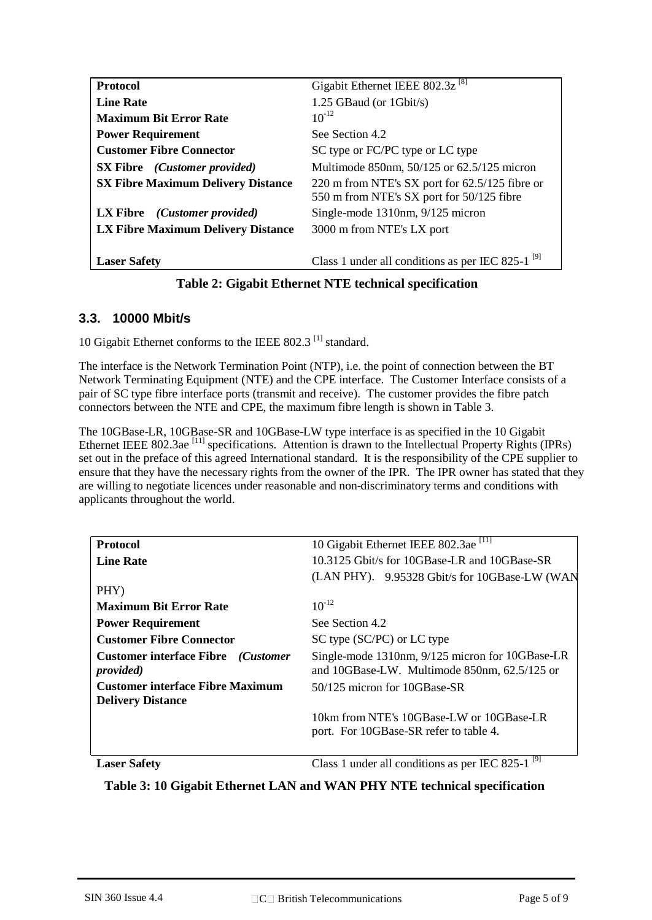| <b>Protocol</b>                            | Gigabit Ethernet IEEE 802.3z <sup>[8]</sup>                                                 |
|--------------------------------------------|---------------------------------------------------------------------------------------------|
| <b>Line Rate</b>                           | 1.25 GBaud (or $1$ Gbit/s)                                                                  |
| <b>Maximum Bit Error Rate</b>              | $10^{-12}$                                                                                  |
| <b>Power Requirement</b>                   | See Section 4.2                                                                             |
| <b>Customer Fibre Connector</b>            | SC type or FC/PC type or LC type                                                            |
| <b>SX Fibre</b> <i>(Customer provided)</i> | Multimode 850nm, 50/125 or 62.5/125 micron                                                  |
| <b>SX Fibre Maximum Delivery Distance</b>  | 220 m from NTE's SX port for 62.5/125 fibre or<br>550 m from NTE's SX port for 50/125 fibre |
| LX Fibre (Customer provided)               | Single-mode $1310$ nm, $9/125$ micron                                                       |
| LX Fibre Maximum Delivery Distance         | 3000 m from NTE's LX port                                                                   |
|                                            |                                                                                             |
| <b>Laser Safety</b>                        | Class 1 under all conditions as per IEC 825-1 <sup>[9]</sup>                                |
|                                            |                                                                                             |

#### **Table 2: Gigabit Ethernet NTE technical specification**

#### **3.3. 10000 Mbit/s**

10 Gigabit Ethernet conforms to the IEEE 802.3<sup>[1]</sup> standard.

The interface is the Network Termination Point (NTP), i.e. the point of connection between the BT Network Terminating Equipment (NTE) and the CPE interface. The Customer Interface consists of a pair of SC type fibre interface ports (transmit and receive). The customer provides the fibre patch connectors between the NTE and CPE, the maximum fibre length is shown in Table 3.

The 10GBase-LR, 10GBase-SR and 10GBase-LW type interface is as specified in the 10 Gigabit Ethernet IEEE 802.3ae [11] specifications. Attention is drawn to the Intellectual Property Rights (IPRs) set out in the preface of this agreed International standard. It is the responsibility of the CPE supplier to ensure that they have the necessary rights from the owner of the IPR. The IPR owner has stated that they are willing to negotiate licences under reasonable and non-discriminatory terms and conditions with applicants throughout the world.

| <b>Protocol</b>                                                          | 10 Gigabit Ethernet IEEE 802.3ae <sup>[11]</sup>                                                |
|--------------------------------------------------------------------------|-------------------------------------------------------------------------------------------------|
| <b>Line Rate</b>                                                         | 10.3125 Gbit/s for 10GBase-LR and 10GBase-SR                                                    |
|                                                                          | (LAN PHY). 9.95328 Gbit/s for 10GBase-LW (WAN                                                   |
| PHY)                                                                     |                                                                                                 |
| <b>Maximum Bit Error Rate</b>                                            | $10^{-12}$                                                                                      |
| <b>Power Requirement</b>                                                 | See Section 4.2                                                                                 |
| <b>Customer Fibre Connector</b>                                          | SC type (SC/PC) or LC type                                                                      |
| <b>Customer interface Fibre</b> ( <i>Customer</i> )<br><i>provided</i> ) | Single-mode 1310nm, 9/125 micron for 10GBase-LR<br>and 10GBase-LW. Multimode 850nm, 62.5/125 or |
| <b>Customer interface Fibre Maximum</b>                                  | 50/125 micron for 10GBase-SR                                                                    |
| <b>Delivery Distance</b>                                                 |                                                                                                 |
|                                                                          | 10km from NTE's 10GBase-LW or 10GBase-LR                                                        |
|                                                                          | port. For 10GBase-SR refer to table 4.                                                          |
|                                                                          |                                                                                                 |
| <b>Laser Safety</b>                                                      | [9]<br>Class 1 under all conditions as per IEC 825-1                                            |

**Table 3: 10 Gigabit Ethernet LAN and WAN PHY NTE technical specification**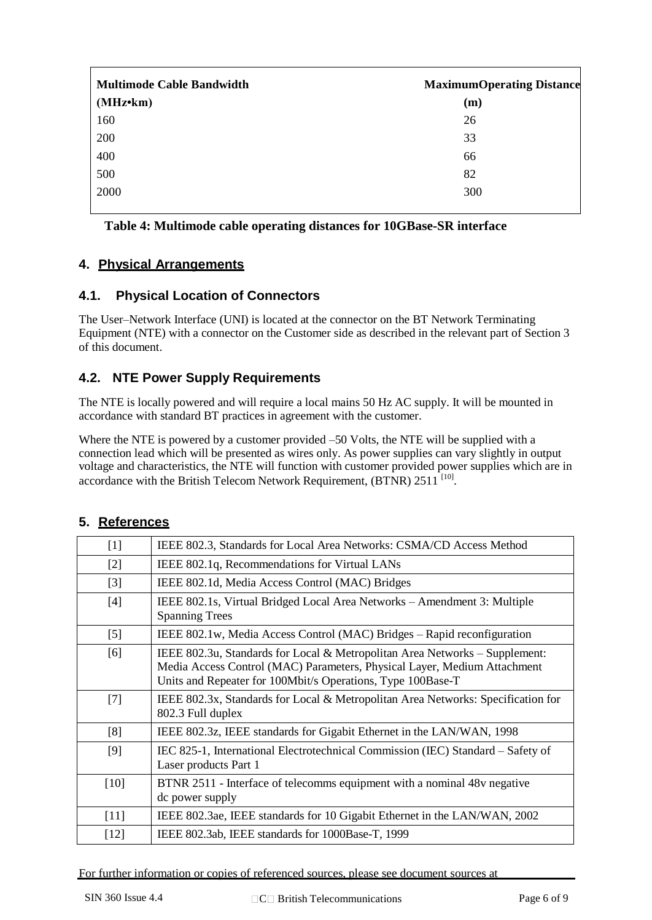| <b>Multimode Cable Bandwidth</b> | <b>MaximumOperating Distance</b> |
|----------------------------------|----------------------------------|
| $(MHz \cdot km)$                 | (m)                              |
| 160                              | 26                               |
| 200                              | 33                               |
| 400                              | 66                               |
| 500                              | 82                               |
| 2000                             | 300                              |

**Table 4: Multimode cable operating distances for 10GBase-SR interface**

### **4. Physical Arrangements**

### **4.1. Physical Location of Connectors**

The User–Network Interface (UNI) is located at the connector on the BT Network Terminating Equipment (NTE) with a connector on the Customer side as described in the relevant part of Section 3 of this document.

# **4.2. NTE Power Supply Requirements**

The NTE is locally powered and will require a local mains 50 Hz AC supply. It will be mounted in accordance with standard BT practices in agreement with the customer.

Where the NTE is powered by a customer provided –50 Volts, the NTE will be supplied with a connection lead which will be presented as wires only. As power supplies can vary slightly in output voltage and characteristics, the NTE will function with customer provided power supplies which are in accordance with the British Telecom Network Requirement, (BTNR) 2511<sup>[10]</sup>.

| $[1]$  | IEEE 802.3, Standards for Local Area Networks: CSMA/CD Access Method                                                                                                                                                     |  |
|--------|--------------------------------------------------------------------------------------------------------------------------------------------------------------------------------------------------------------------------|--|
| $[2]$  | IEEE 802.1q, Recommendations for Virtual LANs                                                                                                                                                                            |  |
| $[3]$  | IEEE 802.1d, Media Access Control (MAC) Bridges                                                                                                                                                                          |  |
| $[4]$  | IEEE 802.1s, Virtual Bridged Local Area Networks – Amendment 3: Multiple<br><b>Spanning Trees</b>                                                                                                                        |  |
| $[5]$  | IEEE 802.1w, Media Access Control (MAC) Bridges – Rapid reconfiguration                                                                                                                                                  |  |
| [6]    | IEEE 802.3u, Standards for Local & Metropolitan Area Networks $-$ Supplement:<br>Media Access Control (MAC) Parameters, Physical Layer, Medium Attachment<br>Units and Repeater for 100Mbit/s Operations, Type 100Base-T |  |
| $[7]$  | IEEE 802.3x, Standards for Local & Metropolitan Area Networks: Specification for<br>802.3 Full duplex                                                                                                                    |  |
| [8]    | IEEE 802.3z, IEEE standards for Gigabit Ethernet in the LAN/WAN, 1998                                                                                                                                                    |  |
| [9]    | IEC 825-1, International Electrotechnical Commission (IEC) Standard – Safety of<br>Laser products Part 1                                                                                                                 |  |
| [10]   | BTNR 2511 - Interface of telecomms equipment with a nominal 48y negative<br>dc power supply                                                                                                                              |  |
| [11]   | IEEE 802.3ae, IEEE standards for 10 Gigabit Ethernet in the LAN/WAN, 2002                                                                                                                                                |  |
| $[12]$ | IEEE 802.3ab, IEEE standards for 1000Base-T, 1999                                                                                                                                                                        |  |

# **5. References**

For further information or copies of referenced sources, please see document sources at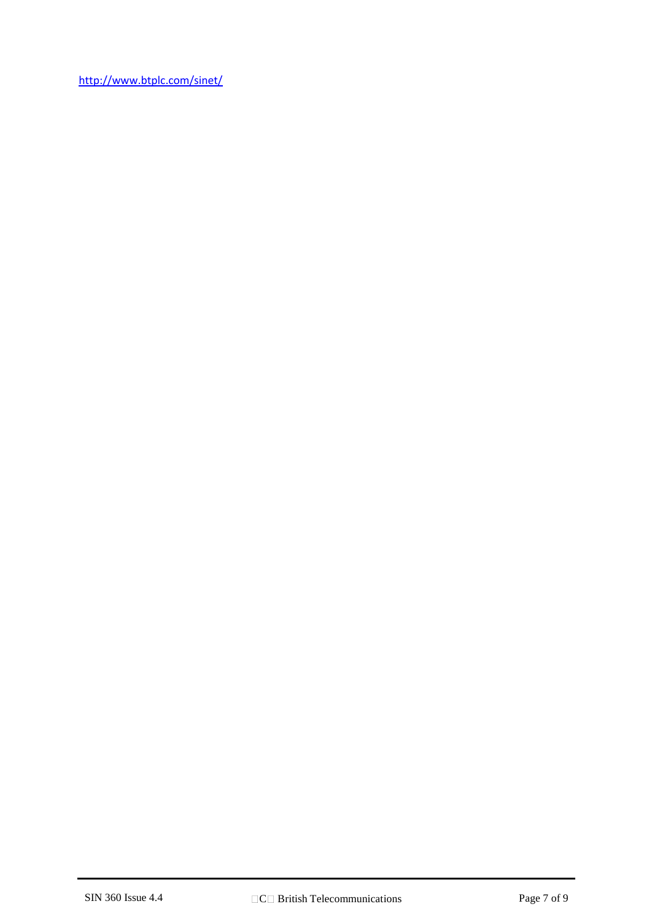<http://www.btplc.com/sinet/>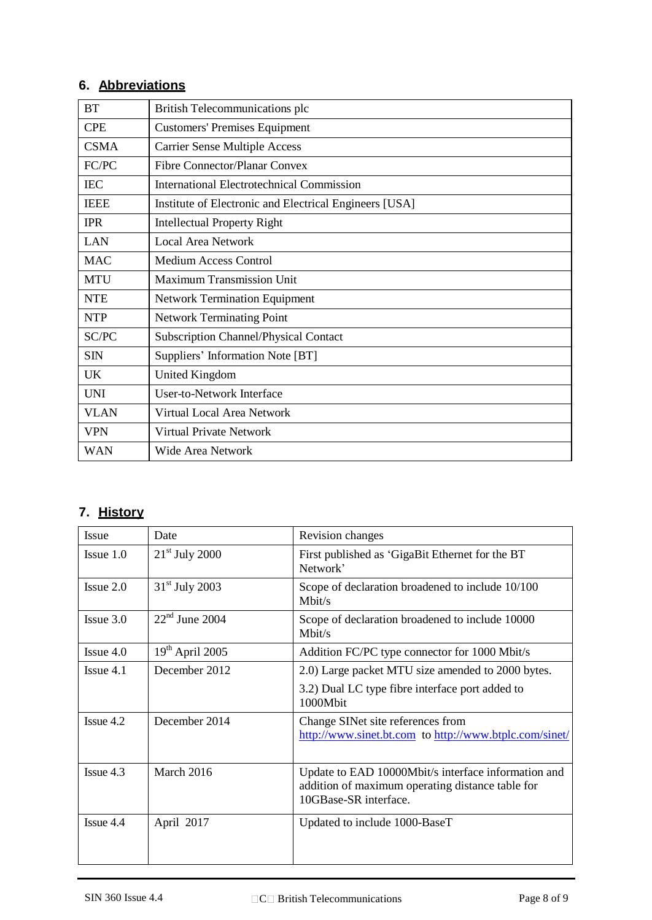# **6. Abbreviations**

| <b>BT</b>   | British Telecommunications plc                         |  |
|-------------|--------------------------------------------------------|--|
| <b>CPE</b>  | <b>Customers' Premises Equipment</b>                   |  |
| <b>CSMA</b> | <b>Carrier Sense Multiple Access</b>                   |  |
| FC/PC       | <b>Fibre Connector/Planar Convex</b>                   |  |
| <b>IEC</b>  | International Electrotechnical Commission              |  |
| <b>IEEE</b> | Institute of Electronic and Electrical Engineers [USA] |  |
| <b>IPR</b>  | <b>Intellectual Property Right</b>                     |  |
| LAN         | <b>Local Area Network</b>                              |  |
| <b>MAC</b>  | <b>Medium Access Control</b>                           |  |
| <b>MTU</b>  | <b>Maximum Transmission Unit</b>                       |  |
| <b>NTE</b>  | <b>Network Termination Equipment</b>                   |  |
| <b>NTP</b>  | <b>Network Terminating Point</b>                       |  |
| SC/PC       | <b>Subscription Channel/Physical Contact</b>           |  |
| <b>SIN</b>  | Suppliers' Information Note [BT]                       |  |
| <b>UK</b>   | <b>United Kingdom</b>                                  |  |
| <b>UNI</b>  | <b>User-to-Network Interface</b>                       |  |
| <b>VLAN</b> | Virtual Local Area Network                             |  |
| <b>VPN</b>  | <b>Virtual Private Network</b>                         |  |
| <b>WAN</b>  | <b>Wide Area Network</b>                               |  |

# **7. History**

| <b>Issue</b>       | Date              | Revision changes                                                                                                                 |
|--------------------|-------------------|----------------------------------------------------------------------------------------------------------------------------------|
| $I$ ssue $1.0$     | $21st$ July 2000  | First published as 'GigaBit Ethernet for the BT<br>Network'                                                                      |
| $I$ ssue $2.0$     | $31st$ July 2003  | Scope of declaration broadened to include 10/100<br>Mbit/s                                                                       |
| $I$ ssue $3.0$     | $22nd$ June 2004  | Scope of declaration broadened to include 10000<br>Mbit/s                                                                        |
| $I$ ssue 4.0       | $19th$ April 2005 | Addition FC/PC type connector for 1000 Mbit/s                                                                                    |
| Is <sub>S</sub> 11 | December 2012     | 2.0) Large packet MTU size amended to 2000 bytes.                                                                                |
|                    |                   | 3.2) Dual LC type fibre interface port added to<br>1000Mbit                                                                      |
| $I$ ssue 4.2       | December 2014     | Change SINet site references from<br>http://www.sinet.bt.com to http://www.btplc.com/sinet/                                      |
| $I$ ssue 4.3       | March 2016        | Update to EAD 10000Mbit/s interface information and<br>addition of maximum operating distance table for<br>10GBase-SR interface. |
| Issue 4.4          | April 2017        | Updated to include 1000-BaseT                                                                                                    |